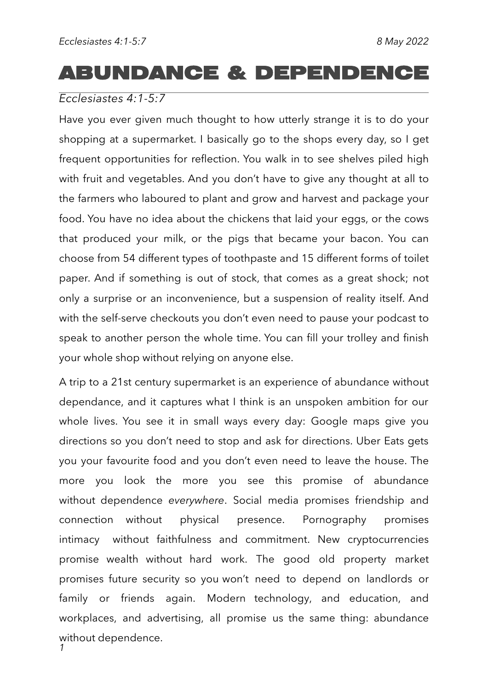# **ABUNDANCE & DEPENDENCE**

### *Ecclesiastes 4:1-5:7*

Have you ever given much thought to how utterly strange it is to do your shopping at a supermarket. I basically go to the shops every day, so I get frequent opportunities for reflection. You walk in to see shelves piled high with fruit and vegetables. And you don't have to give any thought at all to the farmers who laboured to plant and grow and harvest and package your food. You have no idea about the chickens that laid your eggs, or the cows that produced your milk, or the pigs that became your bacon. You can choose from 54 different types of toothpaste and 15 different forms of toilet paper. And if something is out of stock, that comes as a great shock; not only a surprise or an inconvenience, but a suspension of reality itself. And with the self-serve checkouts you don't even need to pause your podcast to speak to another person the whole time. You can fill your trolley and finish your whole shop without relying on anyone else.

A trip to a 21st century supermarket is an experience of abundance without dependance, and it captures what I think is an unspoken ambition for our whole lives. You see it in small ways every day: Google maps give you directions so you don't need to stop and ask for directions. Uber Eats gets you your favourite food and you don't even need to leave the house. The more you look the more you see this promise of abundance without dependence everywhere. Social media promises friendship and connection without physical presence. Pornography promises intimacy without faithfulness and commitment. New cryptocurrencies promise wealth without hard work. The good old property market promises future security so you won't need to depend on landlords or family or friends again. Modern technology, and education, and workplaces, and advertising, all promise us the same thing: abundance without dependence. *1*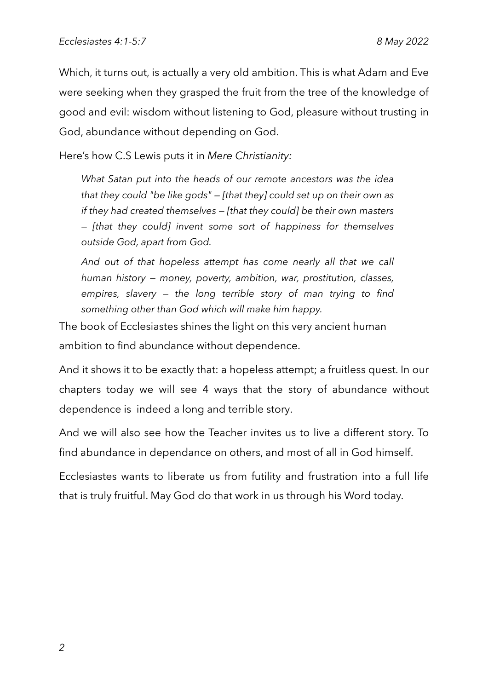Which, it turns out, is actually a very old ambition. This is what Adam and Eve were seeking when they grasped the fruit from the tree of the knowledge of good and evil: wisdom without listening to God, pleasure without trusting in God, abundance without depending on God.

Here's how C.S Lewis puts it in *Mere Christianity:*

*What Satan put into the heads of our remote ancestors was the idea that they could "be like gods" — [that they] could set up on their own as if they had created themselves — [that they could] be their own masters — [that they could] invent some sort of happiness for themselves outside God, apart from God.* 

*And out of that hopeless attempt has come nearly all that we call human history — money, poverty, ambition, war, prostitution, classes, empires, slavery — the long terrible story of man trying to find something other than God which will make him happy.*

The book of Ecclesiastes shines the light on this very ancient human ambition to find abundance without dependence.

And it shows it to be exactly that: a hopeless attempt; a fruitless quest. In our chapters today we will see 4 ways that the story of abundance without dependence is indeed a long and terrible story.

And we will also see how the Teacher invites us to live a different story. To find abundance in dependance on others, and most of all in God himself.

Ecclesiastes wants to liberate us from futility and frustration into a full life that is truly fruitful. May God do that work in us through his Word today.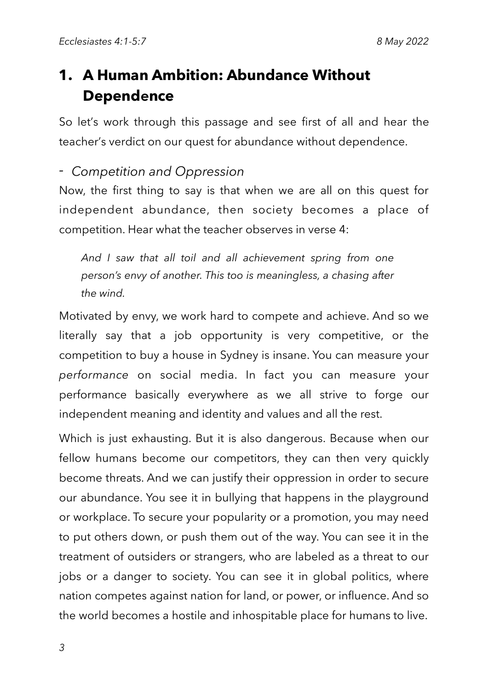## **1. A Human Ambition: Abundance Without Dependence**

So let's work through this passage and see first of all and hear the teacher's verdict on our quest for abundance without dependence.

### - Competition and Oppression

Now, the first thing to say is that when we are all on this quest for independent abundance, then society becomes a place of competition. Hear what the teacher observes in verse 4:

*And I saw that all toil and all achievement spring from one person's envy of another. This too is meaningless, a chasing after the wind.*

Motivated by envy, we work hard to compete and achieve. And so we literally say that a job opportunity is very competitive, or the competition to buy a house in Sydney is insane. You can measure your *performance* on social media. In fact you can measure your performance basically everywhere as we all strive to forge our independent meaning and identity and values and all the rest.

Which is just exhausting. But it is also dangerous. Because when our fellow humans become our competitors, they can then very quickly become threats. And we can justify their oppression in order to secure our abundance. You see it in bullying that happens in the playground or workplace. To secure your popularity or a promotion, you may need to put others down, or push them out of the way. You can see it in the treatment of outsiders or strangers, who are labeled as a threat to our jobs or a danger to society. You can see it in global politics, where nation competes against nation for land, or power, or influence. And so the world becomes a hostile and inhospitable place for humans to live.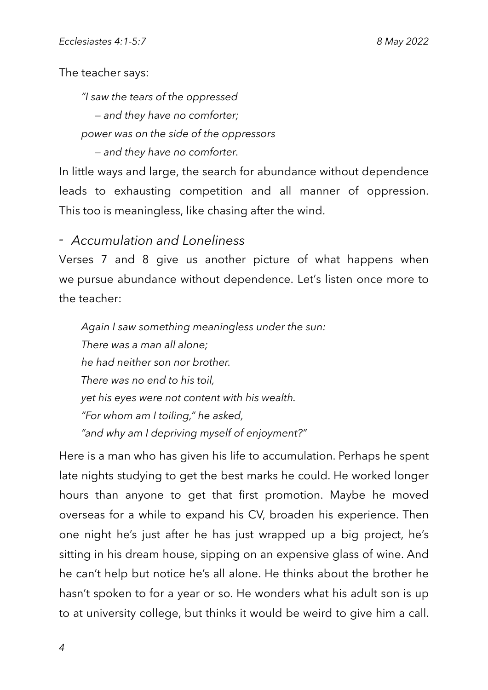The teacher says:

*"I saw the tears of the oppressed — and they have no comforter; power was on the side of the oppressors — and they have no comforter.* 

In little ways and large, the search for abundance without dependence leads to exhausting competition and all manner of oppression. This too is meaningless, like chasing after the wind.

### - Accumulation and Loneliness

Verses 7 and 8 give us another picture of what happens when we pursue abundance without dependence. Let's listen once more to the teacher:

*Again I saw something meaningless under the sun: There was a man all alone; he had neither son nor brother. There was no end to his toil, yet his eyes were not content with his wealth. "For whom am I toiling," he asked, "and why am I depriving myself of enjoyment?"*

Here is a man who has given his life to accumulation. Perhaps he spent late nights studying to get the best marks he could. He worked longer hours than anyone to get that first promotion. Maybe he moved overseas for a while to expand his CV, broaden his experience. Then one night he's just after he has just wrapped up a big project, he's sitting in his dream house, sipping on an expensive glass of wine. And he can't help but notice he's all alone. He thinks about the brother he hasn't spoken to for a year or so. He wonders what his adult son is up to at university college, but thinks it would be weird to give him a call.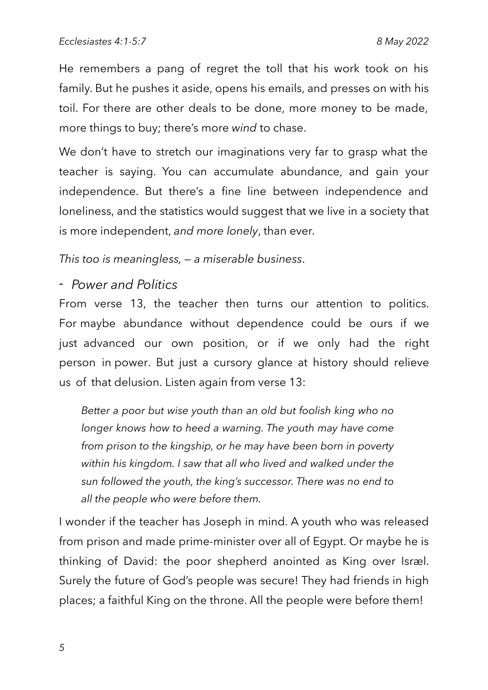He remembers a pang of regret the toll that his work took on his family. But he pushes it aside, opens his emails, and presses on with his toil. For there are other deals to be done, more money to be made, more things to buy; there's more wind to chase.

We don't have to stretch our imaginations very far to grasp what the teacher is saying. You can accumulate abundance, and gain your independence. But there's a fine line between independence and loneliness, and the statistics would suggest that we live in a society that is more independent, and more lonely, than ever.

This too is meaningless,  $-$  a miserable business.

- Power and Politics

From verse 13, the teacher then turns our attention to politics. For maybe abundance without dependence could be ours if we just advanced our own position, or if we only had the right person in power. But just a cursory glance at history should relieve us of that delusion. Listen again from verse 13:

*Better a poor but wise youth than an old but foolish king who no longer knows how to heed a warning. The youth may have come from prison to the kingship, or he may have been born in poverty within his kingdom. I saw that all who lived and walked under the sun followed the youth, the king's successor. There was no end to all the people who were before them.* 

I wonder if the teacher has Joseph in mind. A youth who was released from prison and made prime-minister over all of Egypt. Or maybe he is thinking of David: the poor shepherd anointed as King over Israel. Surely the future of God's people was secure! They had friends in high places; a faithful King on the throne. All the people were before them!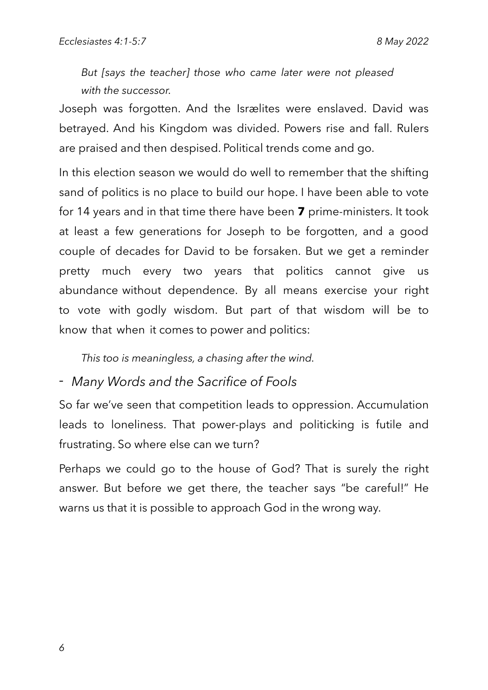*But [says the teacher] those who came later were not pleased with the successor.* 

Joseph was forgotten. And the Isrælites were enslaved. David was betrayed. And his Kingdom was divided. Powers rise and fall. Rulers are praised and then despised. Political trends come and go.

In this election season we would do well to remember that the shifting sand of politics is no place to build our hope. I have been able to vote for 14 years and in that time there have been 7 prime-ministers. It took at least a few generations for Joseph to be forgotten, and a good couple of decades for David to be forsaken. But we get a reminder pretty much every two years that politics cannot give us abundance without dependence. By all means exercise your right to vote with godly wisdom. But part of that wisdom will be to know that when it comes to power and politics:

*This too is meaningless, a chasing after the wind.*

### *- Many Words and the Sacrifice of Fools*

So far we've seen that competition leads to oppression. Accumulation leads to loneliness. That power-plays and politicking is futile and frustrating. So where else can we turn?

Perhaps we could go to the house of God? That is surely the right answer. But before we get there, the teacher says "be careful!" He warns us that it is possible to approach God in the wrong way.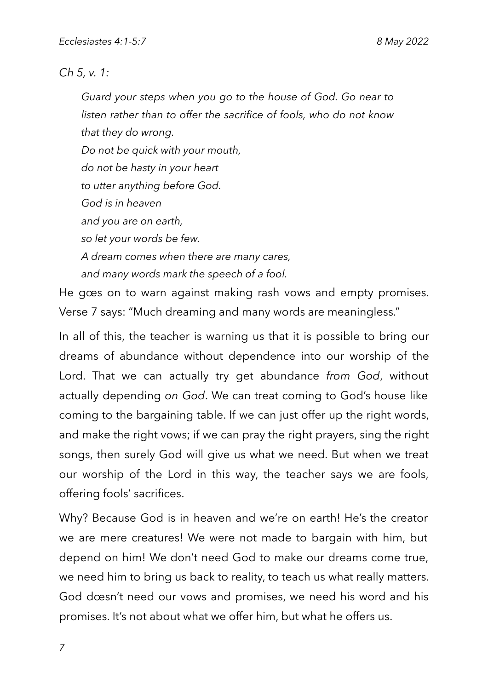### *Ch 5, v. 1:*

*Guard your steps when you go to the house of God. Go near to listen rather than to offer the sacrifice of fools, who do not know that they do wrong.*

*Do not be quick with your mouth, do not be hasty in your heart to utter anything before God. God is in heaven and you are on earth, so let your words be few. A dream comes when there are many cares, and many words mark the speech of a fool.*

He gœs on to warn against making rash vows and empty promises. Verse 7 says: "Much dreaming and many words are meaningless."

In all of this, the teacher is warning us that it is possible to bring our dreams of abundance without dependence into our worship of the Lord. That we can actually try get abundance from God, without actually depending on God. We can treat coming to God's house like coming to the bargaining table. If we can just offer up the right words, and make the right vows; if we can pray the right prayers, sing the right songs, then surely God will give us what we need. But when we treat our worship of the Lord in this way, the teacher says we are fools, offering fools' sacrifices.

Why? Because God is in heaven and we're on earth! He's the creator we are mere creatures! We were not made to bargain with him, but depend on him! We don't need God to make our dreams come true, we need him to bring us back to reality, to teach us what really matters. God dœsn't need our vows and promises, we need his word and his promises. It's not about what we offer him, but what he offers us.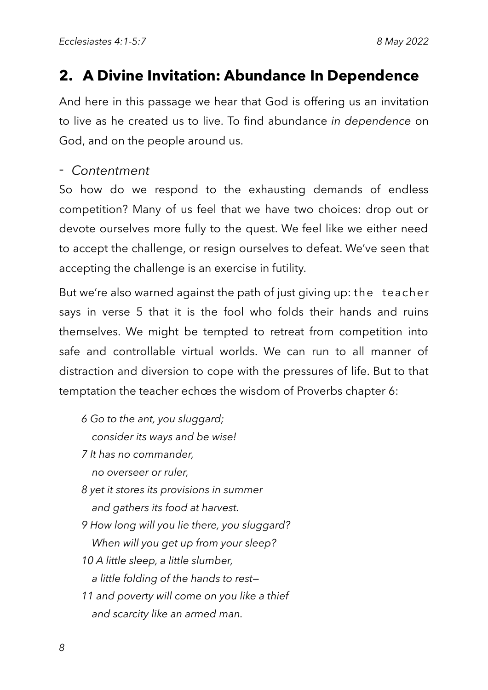### 2. A Divine Invitation: Abundance In Dependence

And here in this passage we hear that God is offering us an invitation to live as he created us to live. To find abundance in dependence on God, and on the people around us.

### - Contentment

So how do we respond to the exhausting demands of endless competition? Many of us feel that we have two choices: drop out or devote ourselves more fully to the quest. We feel like we either need to accept the challenge, or resign ourselves to defeat. We've seen that accepting the challenge is an exercise in futility.

But we're also warned against the path of just giving up: the teacher says in verse 5 that it is the fool who folds their hands and ruins themselves. We might be tempted to retreat from competition into safe and controllable virtual worlds. We can run to all manner of distraction and diversion to cope with the pressures of life. But to that temptation the teacher echoes the wisdom of Proverbs chapter 6:

- *6 Go to the ant, you sluggard; consider its ways and be wise!*
- *7 It has no commander,*

 *no overseer or ruler,*

- *8 yet it stores its provisions in summer and gathers its food at harvest.*
- *9 How long will you lie there, you sluggard? When will you get up from your sleep?*
- *10 A little sleep, a little slumber, a little folding of the hands to rest—*
- *11 and poverty will come on you like a thief and scarcity like an armed man.*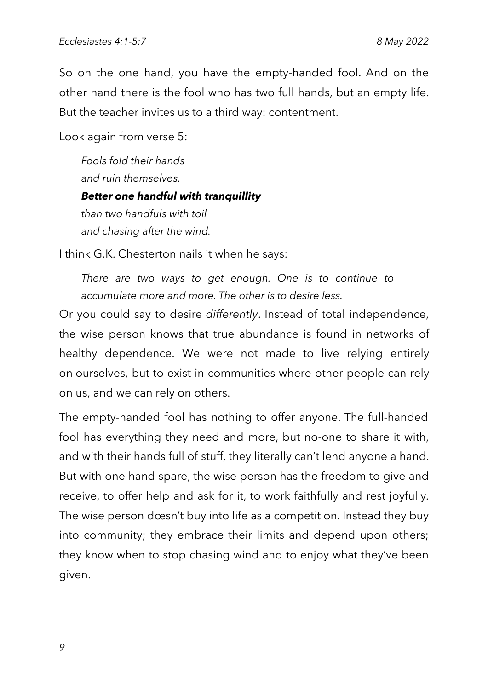So on the one hand, you have the empty-handed fool. And on the other hand there is the fool who has two full hands, but an empty life. But the teacher invites us to a third way: contentment.

Look again from verse 5:

*Fools fold their hands and ruin themselves. Better one handful with tranquillity than two handfuls with toil and chasing after the wind.*

I think G.K. Chesterton nails it when he says:

*There are two ways to get enough. One is to continue to accumulate more and more. The other is to desire less.*

Or you could say to desire differently. Instead of total independence, the wise person knows that true abundance is found in networks of healthy dependence. We were not made to live relying entirely on ourselves, but to exist in communities where other people can rely on us, and we can rely on others.

The empty-handed fool has nothing to offer anyone. The full-handed fool has everything they need and more, but no-one to share it with, and with their hands full of stuff, they literally can't lend anyone a hand. But with one hand spare, the wise person has the freedom to give and receive, to offer help and ask for it, to work faithfully and rest joyfully. The wise person dœsn't buy into life as a competition. Instead they buy into community; they embrace their limits and depend upon others; they know when to stop chasing wind and to enjoy what they've been given.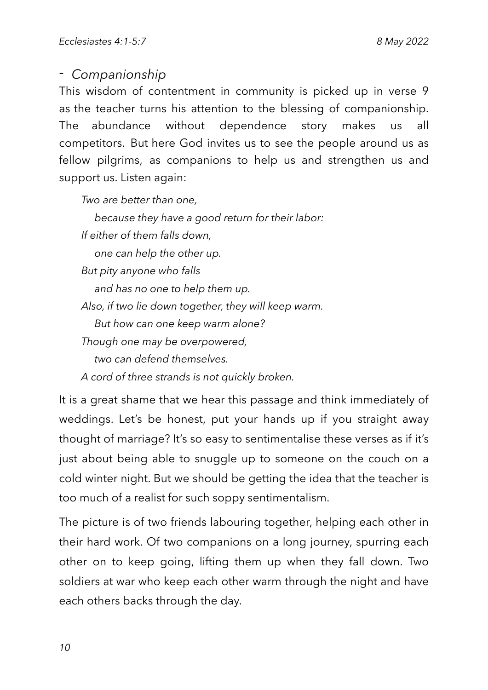### - *Companionship*

This wisdom of contentment in community is picked up in verse 9 as the teacher turns his attention to the blessing of companionship. The abundance without dependence story makes  $\overline{US}$ all competitors. But here God invites us to see the people around us as fellow pilgrims, as companions to help us and strengthen us and support us. Listen again:

*Two are better than one,*

 *because they have a good return for their labor: If either of them falls down, one can help the other up. But pity anyone who falls and has no one to help them up. Also, if two lie down together, they will keep warm. But how can one keep warm alone? Though one may be overpowered, two can defend themselves. A cord of three strands is not quickly broken.*

It is a great shame that we hear this passage and think immediately of weddings. Let's be honest, put your hands up if you straight away thought of marriage? It's so easy to sentimentalise these verses as if it's just about being able to snuggle up to someone on the couch on a cold winter night. But we should be getting the idea that the teacher is too much of a realist for such soppy sentimentalism.

The picture is of two friends labouring together, helping each other in their hard work. Of two companions on a long journey, spurring each other on to keep going, lifting them up when they fall down. Two soldiers at war who keep each other warm through the night and have each others backs through the day.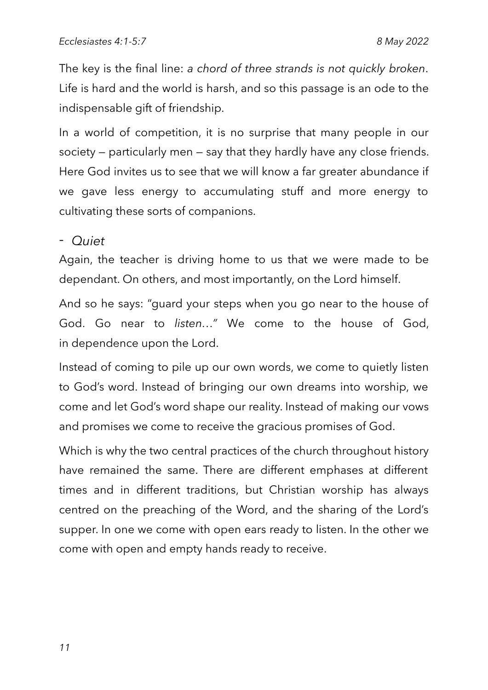The key is the final line: a chord of three strands is not quickly broken. Life is hard and the world is harsh, and so this passage is an ode to the indispensable gift of friendship.

In a world of competition, it is no surprise that many people in our society – particularly men – say that they hardly have any close friends. Here God invites us to see that we will know a far greater abundance if we gave less energy to accumulating stuff and more energy to cultivating these sorts of companions.

#### - Quiet

Again, the teacher is driving home to us that we were made to be dependant. On others, and most importantly, on the Lord himself.

And so he says: "guard your steps when you go near to the house of God. Go near to listen..." We come to the house of God, in dependence upon the Lord.

Instead of coming to pile up our own words, we come to quietly listen to God's word. Instead of bringing our own dreams into worship, we come and let God's word shape our reality. Instead of making our vows and promises we come to receive the gracious promises of God.

Which is why the two central practices of the church throughout history have remained the same. There are different emphases at different times and in different traditions, but Christian worship has always centred on the preaching of the Word, and the sharing of the Lord's supper. In one we come with open ears ready to listen. In the other we come with open and empty hands ready to receive.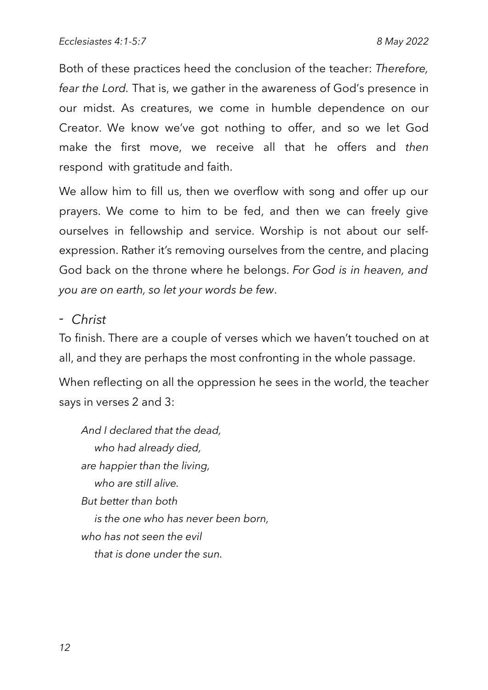Both of these practices heed the conclusion of the teacher: Therefore, fear the Lord. That is, we gather in the awareness of God's presence in our midst. As creatures, we come in humble dependence on our Creator. We know we've got nothing to offer, and so we let God make the first move, we receive all that he offers and then respond with gratitude and faith.

We allow him to fill us, then we overflow with song and offer up our prayers. We come to him to be fed, and then we can freely give ourselves in fellowship and service. Worship is not about our selfexpression. Rather it's removing ourselves from the centre, and placing God back on the throne where he belongs. For God is in heaven, and you are on earth, so let your words be few.

### - Christ

To finish. There are a couple of verses which we haven't touched on at all, and they are perhaps the most confronting in the whole passage.

When reflecting on all the oppression he sees in the world, the teacher says in verses 2 and 3:

*And I declared that the dead, who had already died, are happier than the living, who are still alive. But better than both is the one who has never been born, who has not seen the evil that is done under the sun.*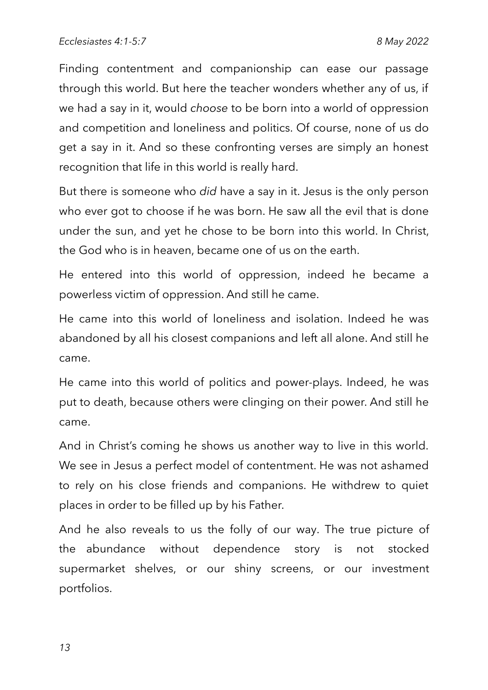Finding contentment and companionship can ease our passage through this world. But here the teacher wonders whether any of us, if we had a say in it, would choose to be born into a world of oppression and competition and loneliness and politics. Of course, none of us do get a say in it. And so these confronting verses are simply an honest recognition that life in this world is really hard.

But there is someone who did have a say in it. Jesus is the only person who ever got to choose if he was born. He saw all the evil that is done under the sun, and yet he chose to be born into this world. In Christ, the God who is in heaven, became one of us on the earth.

He entered into this world of oppression, indeed he became a powerless victim of oppression. And still he came.

He came into this world of loneliness and isolation. Indeed he was abandoned by all his closest companions and left all alone. And still he came.

He came into this world of politics and power-plays. Indeed, he was put to death, because others were clinging on their power. And still he came.

And in Christ's coming he shows us another way to live in this world. We see in Jesus a perfect model of contentment. He was not ashamed to rely on his close friends and companions. He withdrew to quiet places in order to be filled up by his Father.

And he also reveals to us the folly of our way. The true picture of without dependence stocked the abundance story is not supermarket shelves, or our shiny screens, or our investment portfolios.